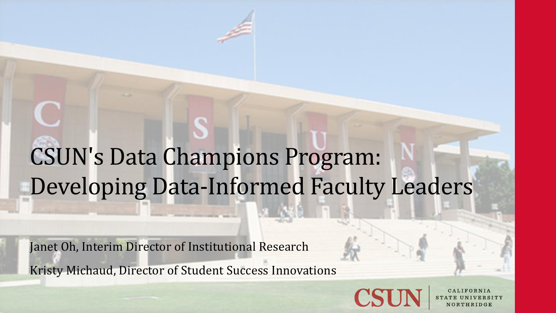### CSUN's Data Champions Program: Developing Data-Informed Faculty Leaders

Janet Oh, Interim Director of Institutional Research Kristy Michaud, Director of Student Success Innovations

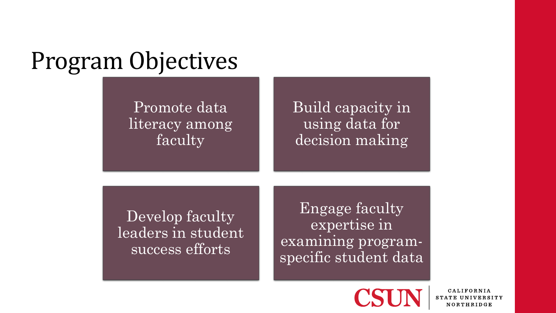### Program Objectives

Promote data literacy among faculty

Build capacity in using data for decision making

Develop faculty leaders in student success efforts

Engage faculty expertise in examining programspecific student data

**CALIFORNIA** STATE UNIVERSITY NORTHRIDGE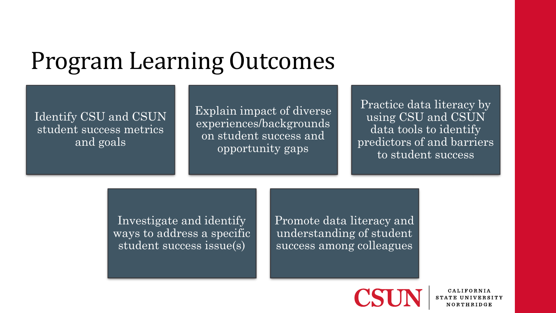### Program Learning Outcomes

Identify CSU and CSUN student success metrics and goals

Explain impact of diverse experiences/backgrounds on student success and opportunity gaps

Practice data literacy by using CSU and CSUN data tools to identify predictors of and barriers to student success

Investigate and identify ways to address a specific student success issue(s)

Promote data literacy and understanding of student success among colleagues



**CALIFORNIA** STATE UNIVERSITY NORTHRIDGE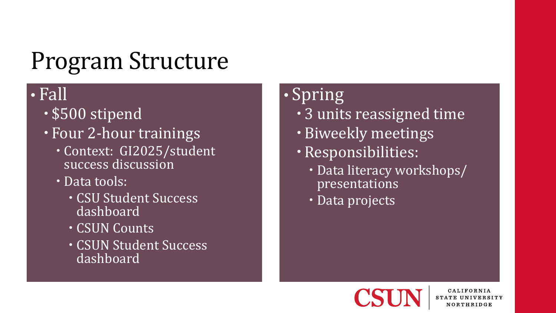### Program Structure

### • Fall

- \$500 stipend
- Four 2-hour trainings
	- Context: GI2025/student success discussion
	- Data tools:
		- · CSU Student Success dashboard
		- CSUN Counts
		- CSUN Student Success dashboard

### • Spring

- 3 units reassigned time
- Biweekly meetings
- Responsibilities:
	- Data literacy workshops/ presentations
	- Data projects

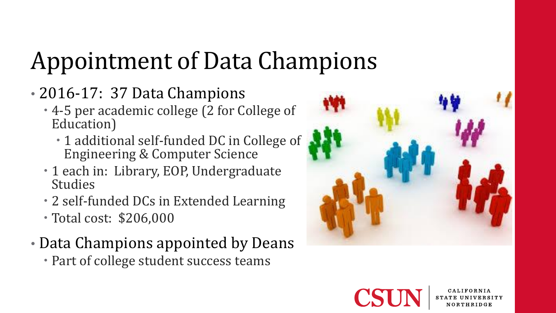# Appointment of Data Champions

- 2016-17: 37 Data Champions
	- 4-5 per academic college (2 for College of Education)
		- 1 additional self-funded DC in College of Engineering & Computer Science
	- 1 each in: Library, EOP, Undergraduate **Studies**
	- 2 self-funded DCs in Extended Learning
	- Total cost: \$206,000
- Data Champions appointed by Deans
	- Part of college student success teams



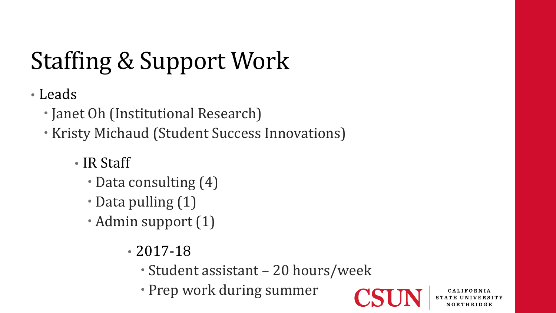# Staffing & Support Work

• Leads

- Janet Oh (Institutional Research)
- Kristy Michaud (Student Success Innovations)
	- IR Staff
		- Data consulting (4)
		- Data pulling (1)
		- Admin support (1)
			- 2017-18
				- Student assistant 20 hours/week
				- Prep work during summer

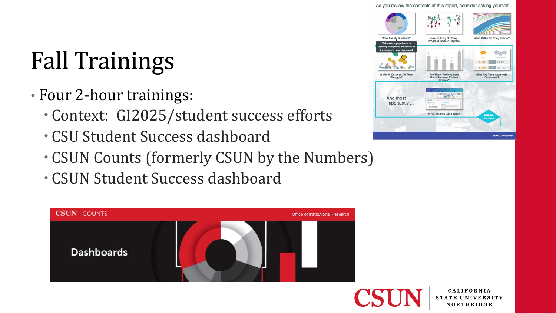#### As you review the contents of this report, consider asking yourself...

## Fall Trainings

- Four 2-hour trainings:
	- Context: GI2025/student success efforts
	- CSU Student Success dashboard
	- CSUN Counts (formerly CSUN by the Numbers)
	- CSUN Student Success dashboard



| <b>STO</b>                                                                                       |                                                                        | <b>CALL A FINANCING</b>                                          |  |  |  |
|--------------------------------------------------------------------------------------------------|------------------------------------------------------------------------|------------------------------------------------------------------|--|--|--|
| <b>Who Are My Students?</b><br>Various demographic charts<br>depicting background information of | How Quickly Do They<br>Progress Toward Degree?                         | What Paths Do They Follow?                                       |  |  |  |
| the students in your department                                                                  |                                                                        | Campus-wide<br>23.7%<br>21.3%<br>4-ye<br>53.4%<br>6-yea<br>57.7% |  |  |  |
| In Which Courses Do They<br>Struggle?                                                            | <b>Are There Achievement</b><br><b>Gaps Between Certain</b><br>Groups? | <b>What Are Their Academic</b><br>Outcomes?                      |  |  |  |
| And most<br>importantly                                                                          | What actions can't taxe?<br><b>District 0122</b>                       |                                                                  |  |  |  |
|                                                                                                  | <b>What Actions Can I Take?</b>                                        | <b>Explore</b><br>the Data                                       |  |  |  |
|                                                                                                  |                                                                        |                                                                  |  |  |  |

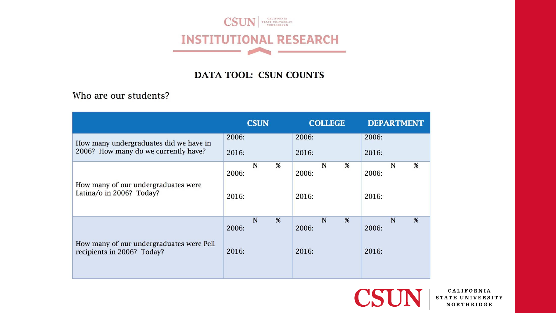

### DATA TOOL: CSUN COUNTS

Who are our students?

|                                                                                | <b>CSUN</b>    |   | <b>COLLEGE</b> |                |   | <b>DEPARTMENT</b> |                |   |   |
|--------------------------------------------------------------------------------|----------------|---|----------------|----------------|---|-------------------|----------------|---|---|
| How many undergraduates did we have in<br>2006? How many do we currently have? | 2006:<br>2016: |   |                | 2006:<br>2016: |   |                   | 2006:<br>2016: |   |   |
| How many of our undergraduates were<br>Latina/o in 2006? Today?                | 2006:          | N | %              | 2006:          | N | %                 | 2006:          | N | % |
|                                                                                | 2016:          |   |                | 2016:          |   |                   | 2016:          |   |   |
| How many of our undergraduates were Pell<br>recipients in 2006? Today?         | 2006:          | N | %              | 2006:          | N | %                 | 2006:          | N | % |
|                                                                                | 2016:          |   |                | 2016:          |   |                   | 2016:          |   |   |



CALIFORNIA STATE UNIVERSITY NORTHRIDGE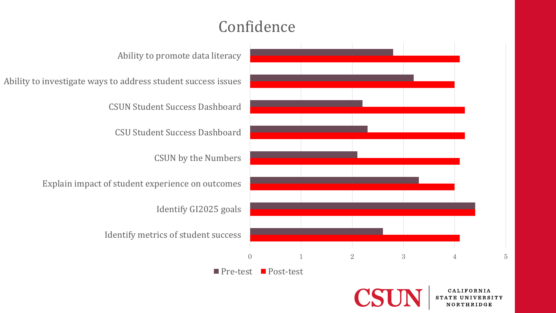### Confidence

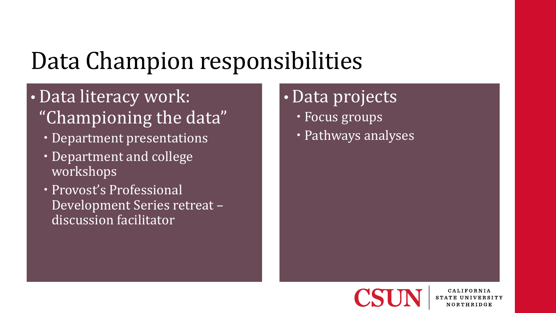## Data Champion responsibilities

- Data literacy work: "Championing the data"
	- Department presentations
	- Department and college workshops
	- Provost's Professional Development Series retreat – discussion facilitator

### • Data projects

- Focus groups
- Pathways analyses



**CALIFORNIA** NORTHRIDGE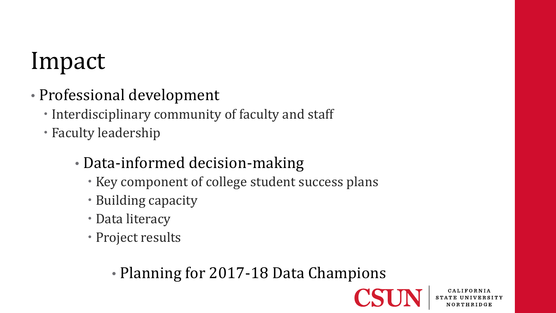## Impact

- Professional development
	- Interdisciplinary community of faculty and staff
	- Faculty leadership
		- Data-informed decision-making
			- Key component of college student success plans
			- Building capacity
			- Data literacy
			- Project results

• Planning for 2017-18 Data Champions